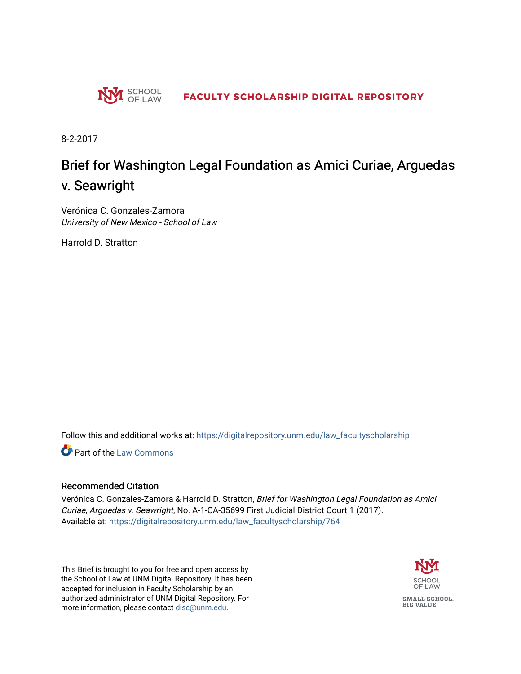

8-2-2017

# Brief for Washington Legal Foundation as Amici Curiae, Arguedas v. Seawright

Verónica C. Gonzales-Zamora University of New Mexico - School of Law

Harrold D. Stratton

Follow this and additional works at: [https://digitalrepository.unm.edu/law\\_facultyscholarship](https://digitalrepository.unm.edu/law_facultyscholarship?utm_source=digitalrepository.unm.edu%2Flaw_facultyscholarship%2F764&utm_medium=PDF&utm_campaign=PDFCoverPages) 

**Part of the [Law Commons](http://network.bepress.com/hgg/discipline/578?utm_source=digitalrepository.unm.edu%2Flaw_facultyscholarship%2F764&utm_medium=PDF&utm_campaign=PDFCoverPages)** 

#### Recommended Citation

Verónica C. Gonzales-Zamora & Harrold D. Stratton, Brief for Washington Legal Foundation as Amici Curiae, Arguedas v. Seawright, No. A-1-CA-35699 First Judicial District Court 1 (2017). Available at: [https://digitalrepository.unm.edu/law\\_facultyscholarship/764](https://digitalrepository.unm.edu/law_facultyscholarship/764?utm_source=digitalrepository.unm.edu%2Flaw_facultyscholarship%2F764&utm_medium=PDF&utm_campaign=PDFCoverPages) 

This Brief is brought to you for free and open access by the School of Law at UNM Digital Repository. It has been accepted for inclusion in Faculty Scholarship by an authorized administrator of UNM Digital Repository. For more information, please contact [disc@unm.edu](mailto:disc@unm.edu).



**BIG VALUE.**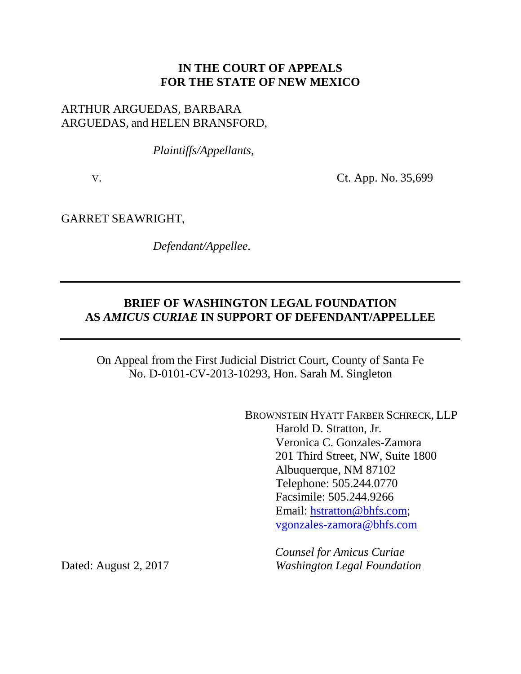### **IN THE COURT OF APPEALS FOR THE STATE OF NEW MEXICO**

### ARTHUR ARGUEDAS, BARBARA ARGUEDAS, and HELEN BRANSFORD,

*Plaintiffs/Appellants*,

v. Ct. App. No. 35,699

GARRET SEAWRIGHT,

*Defendant/Appellee.*

### **BRIEF OF WASHINGTON LEGAL FOUNDATION AS** *AMICUS CURIAE* **IN SUPPORT OF DEFENDANT/APPELLEE**

On Appeal from the First Judicial District Court, County of Santa Fe No. D-0101-CV-2013-10293, Hon. Sarah M. Singleton

> BROWNSTEIN HYATT FARBER SCHRECK, LLP Harold D. Stratton, Jr. Veronica C. Gonzales-Zamora 201 Third Street, NW, Suite 1800 Albuquerque, NM 87102 Telephone: 505.244.0770 Facsimile: 505.244.9266 Email: [hstratton@bhfs.com;](mailto:hstratton@bhfs.com) [vgonzales-zamora@bhfs.com](mailto:vgonzales-zamora@bhfs.com)

 *Counsel for Amicus Curiae* Dated: August 2, 2017 *Washington Legal Foundation*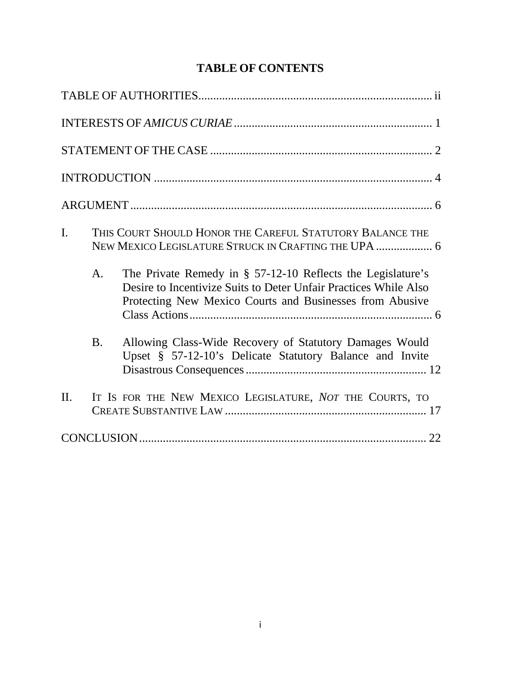| $\mathbf{I}$ . |           | THIS COURT SHOULD HONOR THE CAREFUL STATUTORY BALANCE THE<br>NEW MEXICO LEGISLATURE STRUCK IN CRAFTING THE UPA  6                                                                              |
|----------------|-----------|------------------------------------------------------------------------------------------------------------------------------------------------------------------------------------------------|
|                | A.        | The Private Remedy in $\S$ 57-12-10 Reflects the Legislature's<br>Desire to Incentivize Suits to Deter Unfair Practices While Also<br>Protecting New Mexico Courts and Businesses from Abusive |
|                | <b>B.</b> | Allowing Class-Wide Recovery of Statutory Damages Would<br>Upset § 57-12-10's Delicate Statutory Balance and Invite                                                                            |
| $\Pi$ .        |           | IT IS FOR THE NEW MEXICO LEGISLATURE, NOT THE COURTS, TO                                                                                                                                       |
|                |           |                                                                                                                                                                                                |

### **TABLE OF CONTENTS**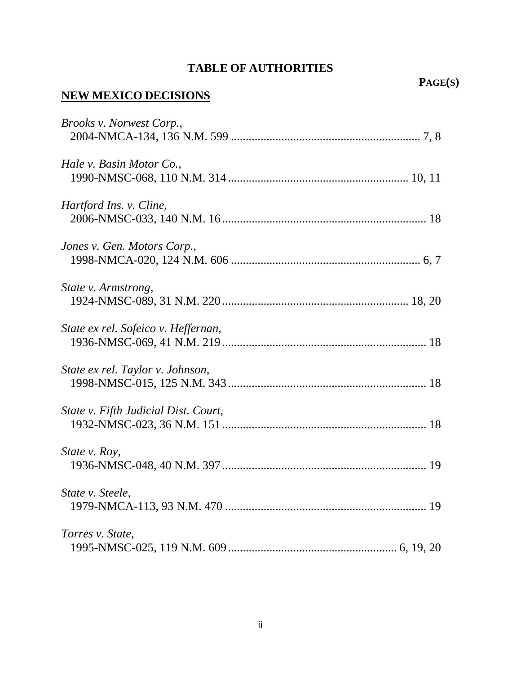### **TABLE OF AUTHORITIES**

# **PAGE(S)**

# **NEW MEXICO DECISIONS**

| Brooks v. Norwest Corp.,             |
|--------------------------------------|
| Hale v. Basin Motor Co.,             |
| Hartford Ins. v. Cline,              |
| Jones v. Gen. Motors Corp.,          |
| State v. Armstrong,                  |
| State ex rel. Sofeico v. Heffernan,  |
| State ex rel. Taylor v. Johnson,     |
| State v. Fifth Judicial Dist. Court, |
| State v. Roy,                        |
| State v. Steele,                     |
| Torres v. State,                     |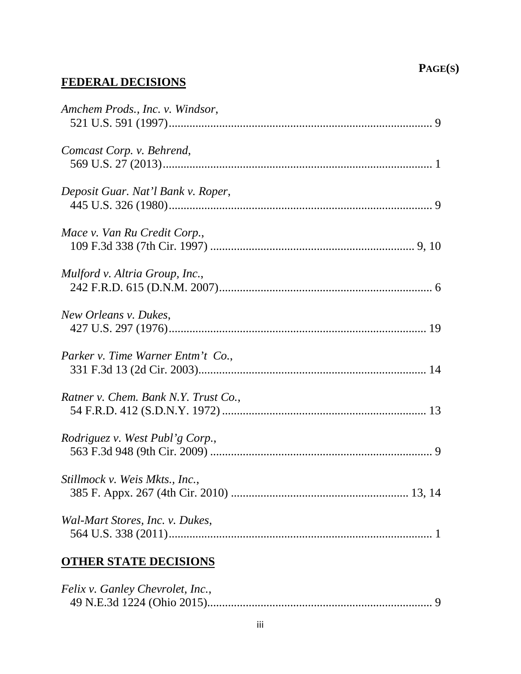# **FEDERAL DECISIONS**

| Amchem Prods., Inc. v. Windsor,      |
|--------------------------------------|
| Comcast Corp. v. Behrend,            |
| Deposit Guar. Nat'l Bank v. Roper,   |
| Mace v. Van Ru Credit Corp.,         |
| Mulford v. Altria Group, Inc.,       |
| New Orleans v. Dukes,                |
| Parker v. Time Warner Entm't Co.,    |
| Ratner v. Chem. Bank N.Y. Trust Co., |
| Rodriguez v. West Publ'g Corp.,      |
| Stillmock v. Weis Mkts., Inc.,       |
| Wal-Mart Stores, Inc. v. Dukes,      |
| <u>OTHER STATE DECISIONS</u>         |

| Felix v. Ganley Chevrolet, Inc., |  |
|----------------------------------|--|
|                                  |  |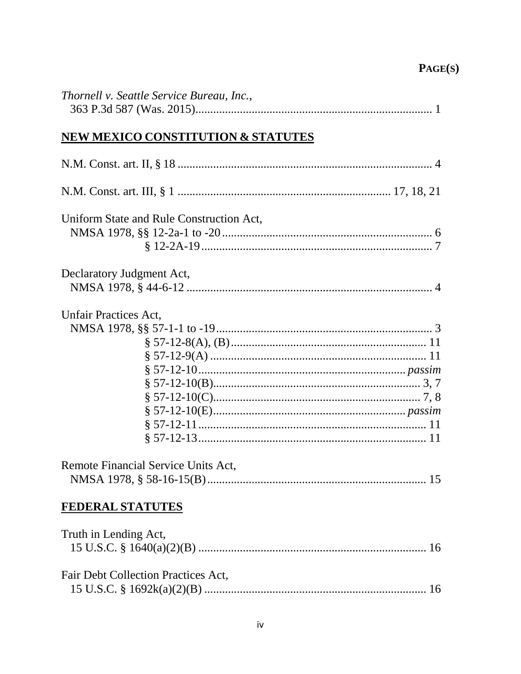| Thornell v. Seattle Service Bureau, Inc., |
|-------------------------------------------|
| NEW MEXICO CONSTITUTION & STATUTES        |
|                                           |
|                                           |
| Uniform State and Rule Construction Act,  |
| Declaratory Judgment Act,                 |
| Unfair Practices Act,                     |
| Remote Financial Service Units Act,       |
| <b>FEDERAL STATUTES</b>                   |
| Truth in Lending Act,                     |
| Fair Debt Collection Practices Act,       |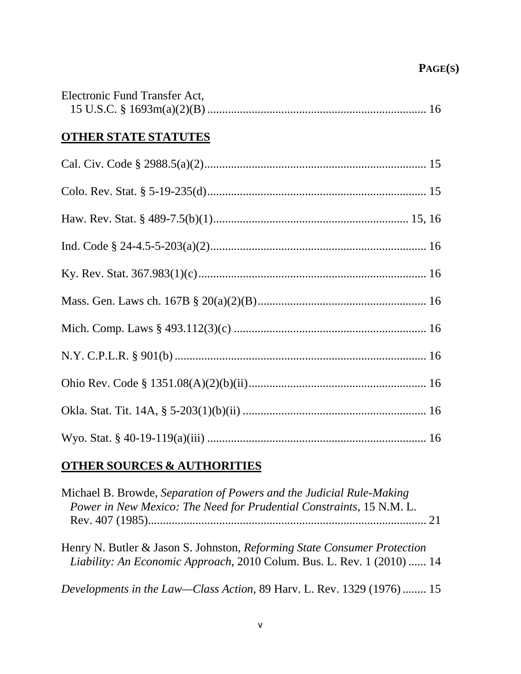| Electronic Fund Transfer Act, |
|-------------------------------|
| <b>OTHER STATE STATUTES</b>   |
|                               |
|                               |
|                               |
|                               |
|                               |
|                               |
|                               |
|                               |
|                               |
|                               |
|                               |

# **OTHER SOURCES & AUTHORITIES**

| Michael B. Browde, Separation of Powers and the Judicial Rule-Making<br>Power in New Mexico: The Need for Prudential Constraints, 15 N.M. L.       |  |
|----------------------------------------------------------------------------------------------------------------------------------------------------|--|
| Henry N. Butler & Jason S. Johnston, Reforming State Consumer Protection<br>Liability: An Economic Approach, 2010 Colum. Bus. L. Rev. 1 (2010)  14 |  |
| Developments in the Law–Class Action, 89 Harv. L. Rev. 1329 (1976)  15                                                                             |  |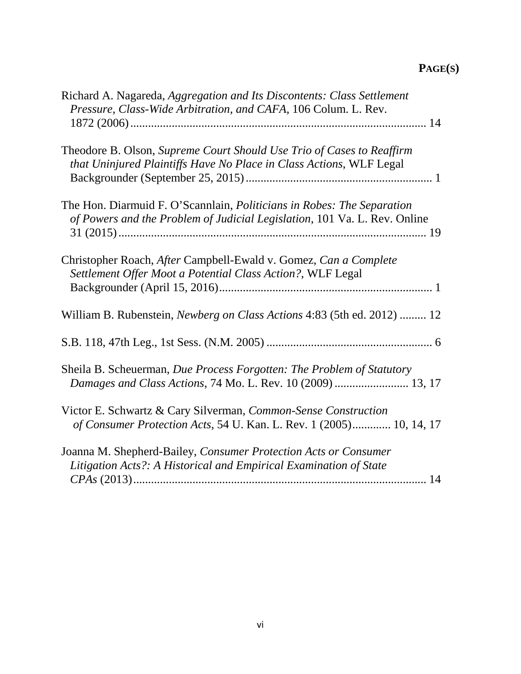| Richard A. Nagareda, Aggregation and Its Discontents: Class Settlement<br>Pressure, Class-Wide Arbitration, and CAFA, 106 Colum. L. Rev.                   |
|------------------------------------------------------------------------------------------------------------------------------------------------------------|
|                                                                                                                                                            |
| Theodore B. Olson, Supreme Court Should Use Trio of Cases to Reaffirm<br>that Uninjured Plaintiffs Have No Place in Class Actions, WLF Legal               |
| The Hon. Diarmuid F. O'Scannlain, <i>Politicians in Robes: The Separation</i><br>of Powers and the Problem of Judicial Legislation, 101 Va. L. Rev. Online |
| Christopher Roach, After Campbell-Ewald v. Gomez, Can a Complete<br>Settlement Offer Moot a Potential Class Action?, WLF Legal                             |
| William B. Rubenstein, <i>Newberg on Class Actions</i> 4:83 (5th ed. 2012)  12                                                                             |
|                                                                                                                                                            |
| Sheila B. Scheuerman, Due Process Forgotten: The Problem of Statutory<br>Damages and Class Actions, 74 Mo. L. Rev. 10 (2009)  13, 17                       |
| Victor E. Schwartz & Cary Silverman, Common-Sense Construction<br>of Consumer Protection Acts, 54 U. Kan. L. Rev. 1 (2005) 10, 14, 17                      |
| Joanna M. Shepherd-Bailey, Consumer Protection Acts or Consumer<br>Litigation Acts?: A Historical and Empirical Examination of State                       |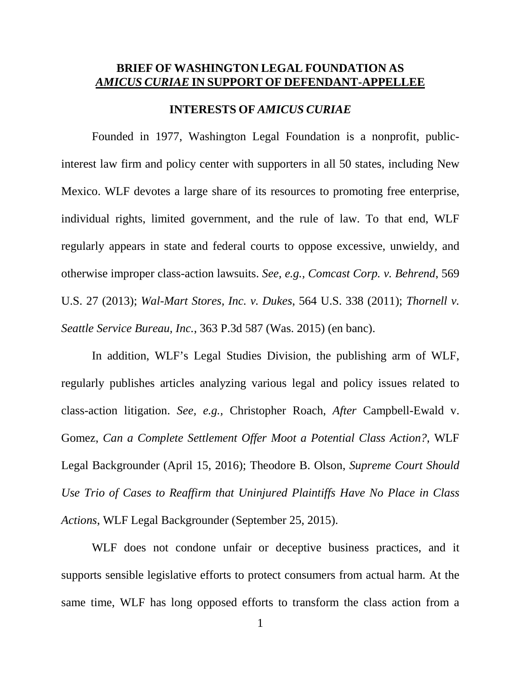#### **BRIEF OF WASHINGTON LEGAL FOUNDATION AS** *AMICUS CURIAE* **IN SUPPORT OF DEFENDANT-APPELLEE**

#### **INTERESTS OF** *AMICUS CURIAE*

Founded in 1977, Washington Legal Foundation is a nonprofit, publicinterest law firm and policy center with supporters in all 50 states, including New Mexico. WLF devotes a large share of its resources to promoting free enterprise, individual rights, limited government, and the rule of law. To that end, WLF regularly appears in state and federal courts to oppose excessive, unwieldy, and otherwise improper class-action lawsuits. *See, e.g., Comcast Corp. v. Behrend*, 569 U.S. 27 (2013); *Wal-Mart Stores, Inc. v. Dukes*, 564 U.S. 338 (2011); *Thornell v. Seattle Service Bureau, Inc.*, 363 P.3d 587 (Was. 2015) (en banc).

In addition, WLF's Legal Studies Division, the publishing arm of WLF, regularly publishes articles analyzing various legal and policy issues related to class-action litigation. *See, e.g.,* Christopher Roach, *After* Campbell-Ewald v. Gomez, *Can a Complete Settlement Offer Moot a Potential Class Action?*, WLF Legal Backgrounder (April 15, 2016); Theodore B. Olson, *Supreme Court Should Use Trio of Cases to Reaffirm that Uninjured Plaintiffs Have No Place in Class Actions*, WLF Legal Backgrounder (September 25, 2015).

WLF does not condone unfair or deceptive business practices, and it supports sensible legislative efforts to protect consumers from actual harm. At the same time, WLF has long opposed efforts to transform the class action from a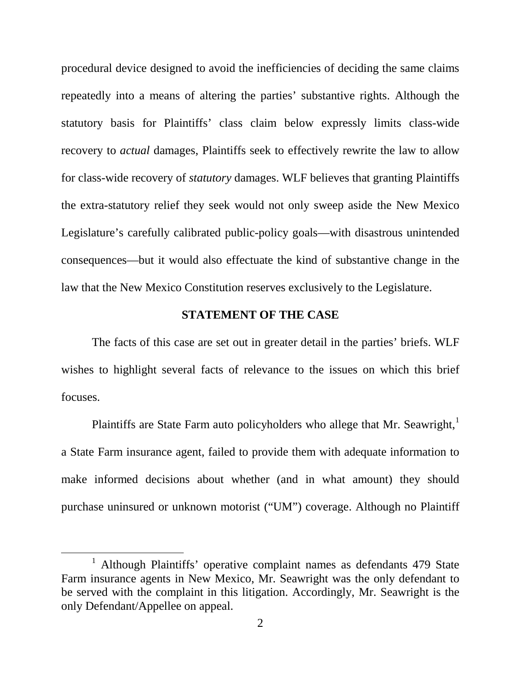procedural device designed to avoid the inefficiencies of deciding the same claims repeatedly into a means of altering the parties' substantive rights. Although the statutory basis for Plaintiffs' class claim below expressly limits class-wide recovery to *actual* damages, Plaintiffs seek to effectively rewrite the law to allow for class-wide recovery of *statutory* damages. WLF believes that granting Plaintiffs the extra-statutory relief they seek would not only sweep aside the New Mexico Legislature's carefully calibrated public-policy goals—with disastrous unintended consequences—but it would also effectuate the kind of substantive change in the law that the New Mexico Constitution reserves exclusively to the Legislature.

#### **STATEMENT OF THE CASE**

The facts of this case are set out in greater detail in the parties' briefs. WLF wishes to highlight several facts of relevance to the issues on which this brief focuses.

Plaintiffs are State Farm auto policyholders who allege that Mr. Seawright, $<sup>1</sup>$  $<sup>1</sup>$  $<sup>1</sup>$ </sup> a State Farm insurance agent, failed to provide them with adequate information to make informed decisions about whether (and in what amount) they should purchase uninsured or unknown motorist ("UM") coverage. Although no Plaintiff

<span id="page-9-0"></span><sup>&</sup>lt;sup>1</sup> Although Plaintiffs' operative complaint names as defendants 479 State Farm insurance agents in New Mexico, Mr. Seawright was the only defendant to be served with the complaint in this litigation. Accordingly, Mr. Seawright is the only Defendant/Appellee on appeal.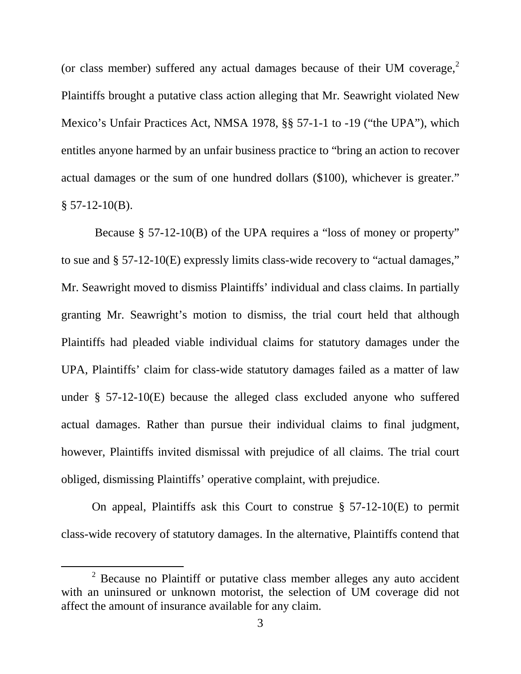(or class member) suffered any actual damages because of their UM coverage, $2$ Plaintiffs brought a putative class action alleging that Mr. Seawright violated New Mexico's Unfair Practices Act, NMSA 1978, §§ 57-1-1 to -19 ("the UPA"), which entitles anyone harmed by an unfair business practice to "bring an action to recover actual damages or the sum of one hundred dollars (\$100), whichever is greater."  $§ 57-12-10(B).$ 

Because § 57-12-10(B) of the UPA requires a "loss of money or property" to sue and § 57-12-10(E) expressly limits class-wide recovery to "actual damages," Mr. Seawright moved to dismiss Plaintiffs' individual and class claims. In partially granting Mr. Seawright's motion to dismiss, the trial court held that although Plaintiffs had pleaded viable individual claims for statutory damages under the UPA, Plaintiffs' claim for class-wide statutory damages failed as a matter of law under § 57-12-10(E) because the alleged class excluded anyone who suffered actual damages. Rather than pursue their individual claims to final judgment, however, Plaintiffs invited dismissal with prejudice of all claims. The trial court obliged, dismissing Plaintiffs' operative complaint, with prejudice.

On appeal, Plaintiffs ask this Court to construe  $\S$  57-12-10(E) to permit class-wide recovery of statutory damages. In the alternative, Plaintiffs contend that

<span id="page-10-0"></span><sup>&</sup>lt;sup>2</sup> Because no Plaintiff or putative class member alleges any auto accident with an uninsured or unknown motorist, the selection of UM coverage did not affect the amount of insurance available for any claim.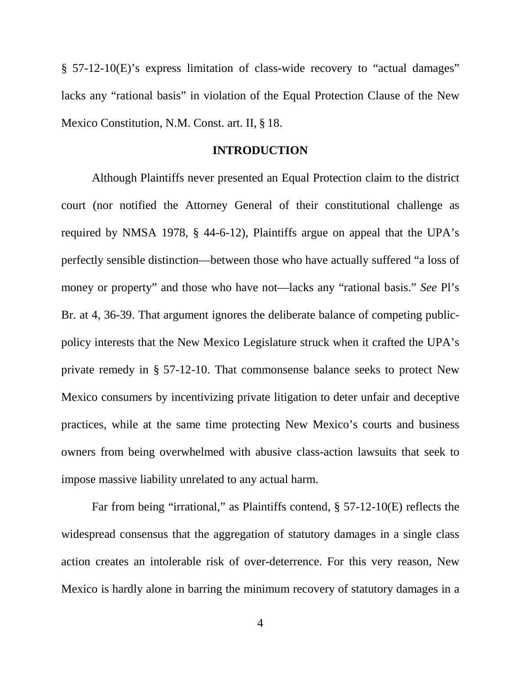§ 57-12-10(E)'s express limitation of class-wide recovery to "actual damages" lacks any "rational basis" in violation of the Equal Protection Clause of the New Mexico Constitution, N.M. Const. art. II, § 18.

#### **INTRODUCTION**

Although Plaintiffs never presented an Equal Protection claim to the district court (nor notified the Attorney General of their constitutional challenge as required by NMSA 1978, § 44-6-12), Plaintiffs argue on appeal that the UPA's perfectly sensible distinction—between those who have actually suffered "a loss of money or property" and those who have not—lacks any "rational basis." *See* Pl's Br. at 4, 36-39. That argument ignores the deliberate balance of competing publicpolicy interests that the New Mexico Legislature struck when it crafted the UPA's private remedy in § 57-12-10. That commonsense balance seeks to protect New Mexico consumers by incentivizing private litigation to deter unfair and deceptive practices, while at the same time protecting New Mexico's courts and business owners from being overwhelmed with abusive class-action lawsuits that seek to impose massive liability unrelated to any actual harm.

Far from being "irrational," as Plaintiffs contend, § 57-12-10(E) reflects the widespread consensus that the aggregation of statutory damages in a single class action creates an intolerable risk of over-deterrence. For this very reason, New Mexico is hardly alone in barring the minimum recovery of statutory damages in a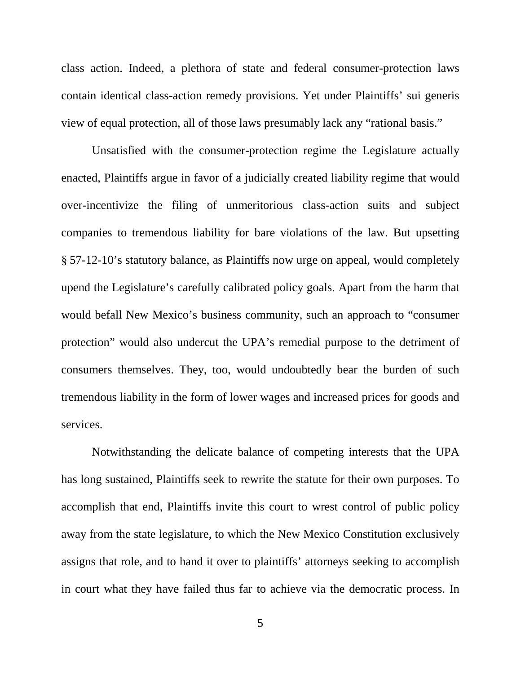class action. Indeed, a plethora of state and federal consumer-protection laws contain identical class-action remedy provisions. Yet under Plaintiffs' sui generis view of equal protection, all of those laws presumably lack any "rational basis."

Unsatisfied with the consumer-protection regime the Legislature actually enacted, Plaintiffs argue in favor of a judicially created liability regime that would over-incentivize the filing of unmeritorious class-action suits and subject companies to tremendous liability for bare violations of the law. But upsetting § 57-12-10's statutory balance, as Plaintiffs now urge on appeal, would completely upend the Legislature's carefully calibrated policy goals. Apart from the harm that would befall New Mexico's business community, such an approach to "consumer protection" would also undercut the UPA's remedial purpose to the detriment of consumers themselves. They, too, would undoubtedly bear the burden of such tremendous liability in the form of lower wages and increased prices for goods and services.

Notwithstanding the delicate balance of competing interests that the UPA has long sustained, Plaintiffs seek to rewrite the statute for their own purposes. To accomplish that end, Plaintiffs invite this court to wrest control of public policy away from the state legislature, to which the New Mexico Constitution exclusively assigns that role, and to hand it over to plaintiffs' attorneys seeking to accomplish in court what they have failed thus far to achieve via the democratic process. In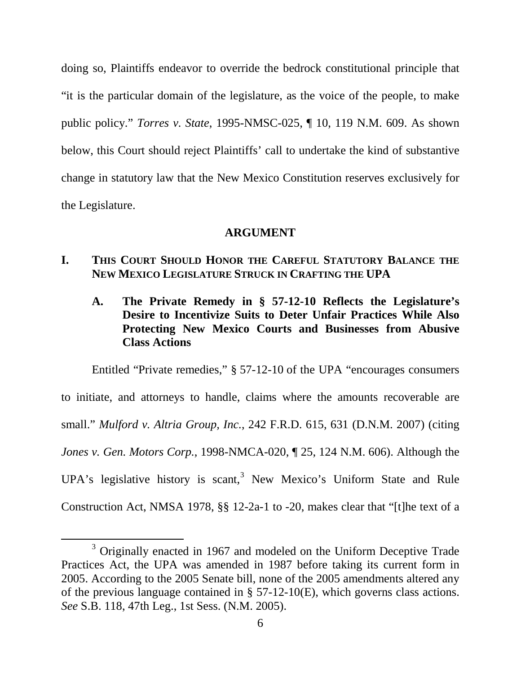doing so, Plaintiffs endeavor to override the bedrock constitutional principle that "it is the particular domain of the legislature, as the voice of the people, to make public policy." *Torres v. State*, 1995-NMSC-025, ¶ 10, 119 N.M. 609. As shown below, this Court should reject Plaintiffs' call to undertake the kind of substantive change in statutory law that the New Mexico Constitution reserves exclusively for the Legislature.

#### **ARGUMENT**

### **I. THIS COURT SHOULD HONOR THE CAREFUL STATUTORY BALANCE THE NEW MEXICO LEGISLATURE STRUCK IN CRAFTING THE UPA**

**A. The Private Remedy in § 57-12-10 Reflects the Legislature's Desire to Incentivize Suits to Deter Unfair Practices While Also Protecting New Mexico Courts and Businesses from Abusive Class Actions**

Entitled "Private remedies," § 57-12-10 of the UPA "encourages consumers to initiate, and attorneys to handle, claims where the amounts recoverable are small." *Mulford v. Altria Group, Inc.*, 242 F.R.D. 615, 631 (D.N.M. 2007) (citing *Jones v. Gen. Motors Corp.*, 1998-NMCA-020, ¶ 25, 124 N.M. 606). Although the UPA's legislative history is scant, <sup>[3](#page-13-0)</sup> New Mexico's Uniform State and Rule Construction Act, NMSA 1978, §§ 12-2a-1 to -20, makes clear that "[t]he text of a

<span id="page-13-0"></span><sup>&</sup>lt;sup>3</sup> Originally enacted in 1967 and modeled on the Uniform Deceptive Trade Practices Act, the UPA was amended in 1987 before taking its current form in 2005. According to the 2005 Senate bill, none of the 2005 amendments altered any of the previous language contained in § 57-12-10(E), which governs class actions. *See* S.B. 118, 47th Leg., 1st Sess. (N.M. 2005).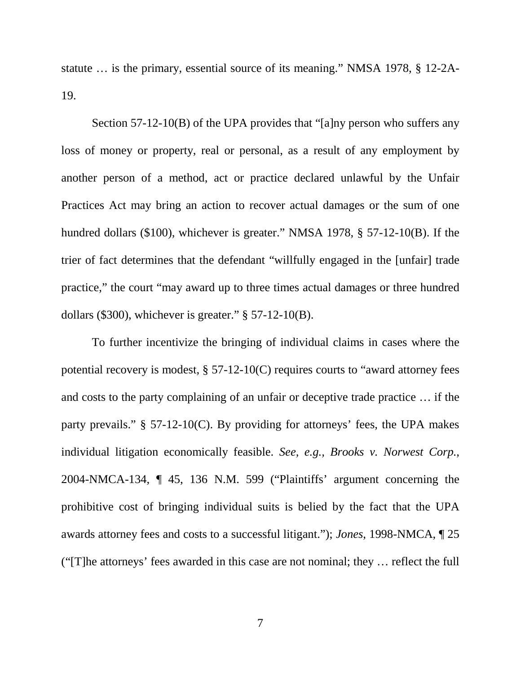statute … is the primary, essential source of its meaning." NMSA 1978, § 12-2A-19.

Section 57-12-10(B) of the UPA provides that "[a]ny person who suffers any loss of money or property, real or personal, as a result of any employment by another person of a method, act or practice declared unlawful by the Unfair Practices Act may bring an action to recover actual damages or the sum of one hundred dollars (\$100), whichever is greater." NMSA 1978, § 57-12-10(B). If the trier of fact determines that the defendant "willfully engaged in the [unfair] trade practice," the court "may award up to three times actual damages or three hundred dollars (\$300), whichever is greater." § 57-12-10(B).

To further incentivize the bringing of individual claims in cases where the potential recovery is modest, § 57-12-10(C) requires courts to "award attorney fees and costs to the party complaining of an unfair or deceptive trade practice … if the party prevails." § 57-12-10(C). By providing for attorneys' fees, the UPA makes individual litigation economically feasible. *See, e.g., Brooks v. Norwest Corp.*, 2004-NMCA-134, ¶ 45, 136 N.M. 599 ("Plaintiffs' argument concerning the prohibitive cost of bringing individual suits is belied by the fact that the UPA awards attorney fees and costs to a successful litigant."); *Jones*, 1998-NMCA, ¶ 25 ("[T]he attorneys' fees awarded in this case are not nominal; they … reflect the full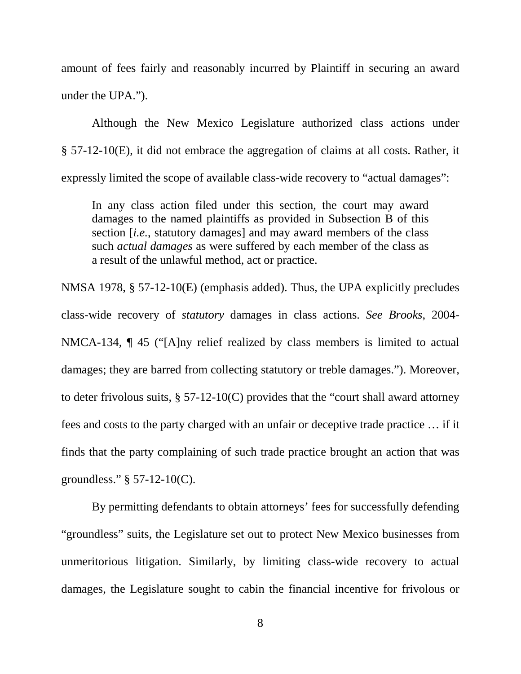amount of fees fairly and reasonably incurred by Plaintiff in securing an award under the UPA.").

Although the New Mexico Legislature authorized class actions under § 57-12-10(E), it did not embrace the aggregation of claims at all costs. Rather, it expressly limited the scope of available class-wide recovery to "actual damages":

In any class action filed under this section, the court may award damages to the named plaintiffs as provided in Subsection B of this section [*i.e.*, statutory damages] and may award members of the class such *actual damages* as were suffered by each member of the class as a result of the unlawful method, act or practice.

NMSA 1978, § 57-12-10(E) (emphasis added). Thus, the UPA explicitly precludes class-wide recovery of *statutory* damages in class actions. *See Brooks*, 2004- NMCA-134, ¶ 45 ("[A]ny relief realized by class members is limited to actual damages; they are barred from collecting statutory or treble damages."). Moreover, to deter frivolous suits,  $\S 57-12-10(C)$  provides that the "court shall award attorney" fees and costs to the party charged with an unfair or deceptive trade practice … if it finds that the party complaining of such trade practice brought an action that was groundless." § 57-12-10(C).

By permitting defendants to obtain attorneys' fees for successfully defending "groundless" suits, the Legislature set out to protect New Mexico businesses from unmeritorious litigation. Similarly, by limiting class-wide recovery to actual damages, the Legislature sought to cabin the financial incentive for frivolous or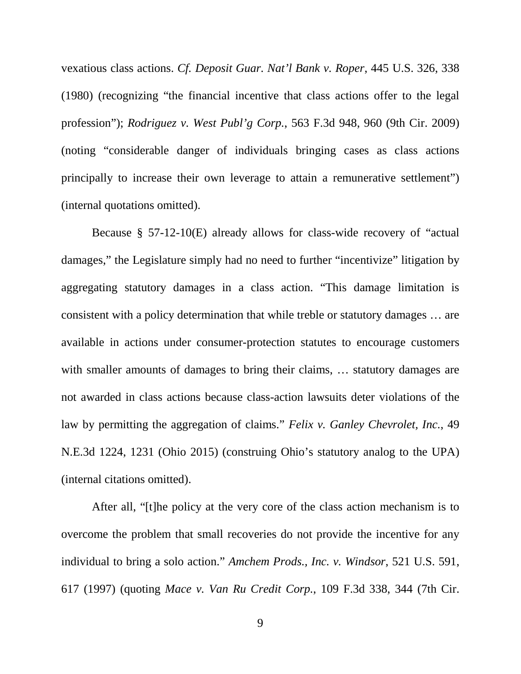vexatious class actions. *Cf. Deposit Guar. Nat'l Bank v. Roper*, 445 U.S. 326, 338 (1980) (recognizing "the financial incentive that class actions offer to the legal profession"); *Rodriguez v. West Publ'g Corp.*, 563 F.3d 948, 960 (9th Cir. 2009) (noting "considerable danger of individuals bringing cases as class actions principally to increase their own leverage to attain a remunerative settlement") (internal quotations omitted).

Because § 57-12-10(E) already allows for class-wide recovery of "actual damages," the Legislature simply had no need to further "incentivize" litigation by aggregating statutory damages in a class action. "This damage limitation is consistent with a policy determination that while treble or statutory damages … are available in actions under consumer-protection statutes to encourage customers with smaller amounts of damages to bring their claims, ... statutory damages are not awarded in class actions because class-action lawsuits deter violations of the law by permitting the aggregation of claims." *Felix v. Ganley Chevrolet, Inc.*, 49 N.E.3d 1224, 1231 (Ohio 2015) (construing Ohio's statutory analog to the UPA) (internal citations omitted).

After all, "[t]he policy at the very core of the class action mechanism is to overcome the problem that small recoveries do not provide the incentive for any individual to bring a solo action." *Amchem Prods., Inc. v. Windsor*, 521 U.S. 591, 617 (1997) (quoting *Mace v. Van Ru Credit Corp.*, 109 F.3d 338, 344 (7th Cir.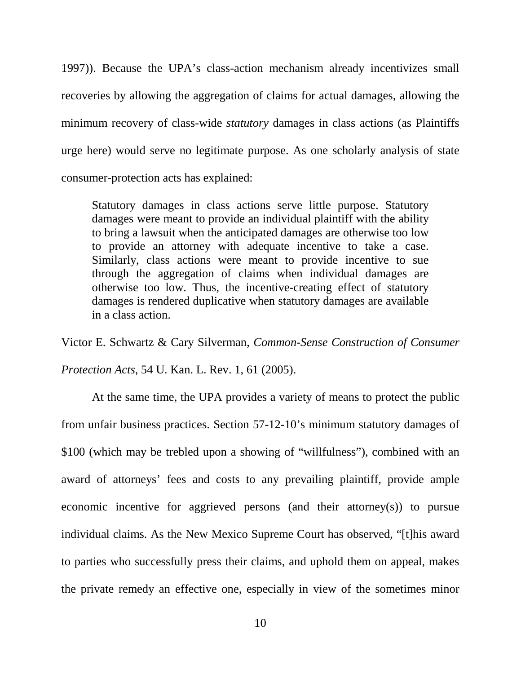1997)). Because the UPA's class-action mechanism already incentivizes small recoveries by allowing the aggregation of claims for actual damages, allowing the minimum recovery of class-wide *statutory* damages in class actions (as Plaintiffs urge here) would serve no legitimate purpose. As one scholarly analysis of state consumer-protection acts has explained:

Statutory damages in class actions serve little purpose. Statutory damages were meant to provide an individual plaintiff with the ability to bring a lawsuit when the anticipated damages are otherwise too low to provide an attorney with adequate incentive to take a case. Similarly, class actions were meant to provide incentive to sue through the aggregation of claims when individual damages are otherwise too low. Thus, the incentive-creating effect of statutory damages is rendered duplicative when statutory damages are available in a class action.

Victor E. Schwartz & Cary Silverman, *Common-Sense Construction of Consumer Protection Acts*, 54 U. Kan. L. Rev. 1, 61 (2005).

At the same time, the UPA provides a variety of means to protect the public from unfair business practices. Section 57-12-10's minimum statutory damages of \$100 (which may be trebled upon a showing of "willfulness"), combined with an award of attorneys' fees and costs to any prevailing plaintiff, provide ample economic incentive for aggrieved persons (and their attorney(s)) to pursue individual claims. As the New Mexico Supreme Court has observed, "[t]his award to parties who successfully press their claims, and uphold them on appeal, makes the private remedy an effective one, especially in view of the sometimes minor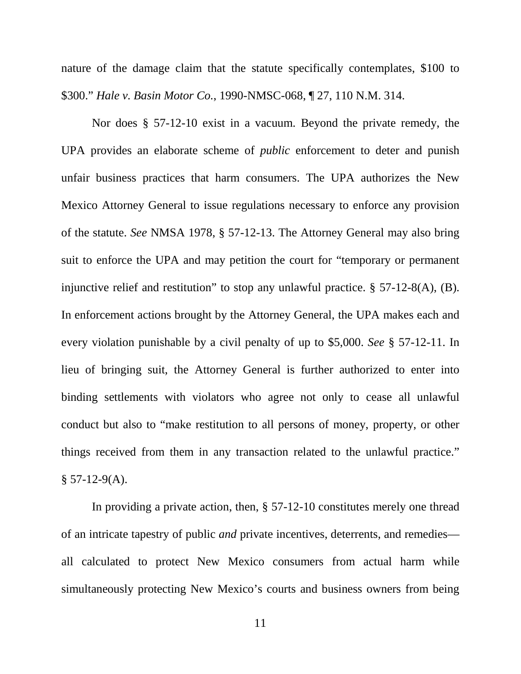nature of the damage claim that the statute specifically contemplates, \$100 to \$300." *Hale v. Basin Motor Co.*, 1990-NMSC-068, ¶ 27, 110 N.M. 314.

Nor does § 57-12-10 exist in a vacuum. Beyond the private remedy, the UPA provides an elaborate scheme of *public* enforcement to deter and punish unfair business practices that harm consumers. The UPA authorizes the New Mexico Attorney General to issue regulations necessary to enforce any provision of the statute. *See* NMSA 1978, § 57-12-13. The Attorney General may also bring suit to enforce the UPA and may petition the court for "temporary or permanent injunctive relief and restitution" to stop any unlawful practice. § 57-12-8(A), (B). In enforcement actions brought by the Attorney General, the UPA makes each and every violation punishable by a civil penalty of up to \$5,000. *See* § 57-12-11. In lieu of bringing suit, the Attorney General is further authorized to enter into binding settlements with violators who agree not only to cease all unlawful conduct but also to "make restitution to all persons of money, property, or other things received from them in any transaction related to the unlawful practice."  $§ 57-12-9(A).$ 

In providing a private action, then, § 57-12-10 constitutes merely one thread of an intricate tapestry of public *and* private incentives, deterrents, and remedies all calculated to protect New Mexico consumers from actual harm while simultaneously protecting New Mexico's courts and business owners from being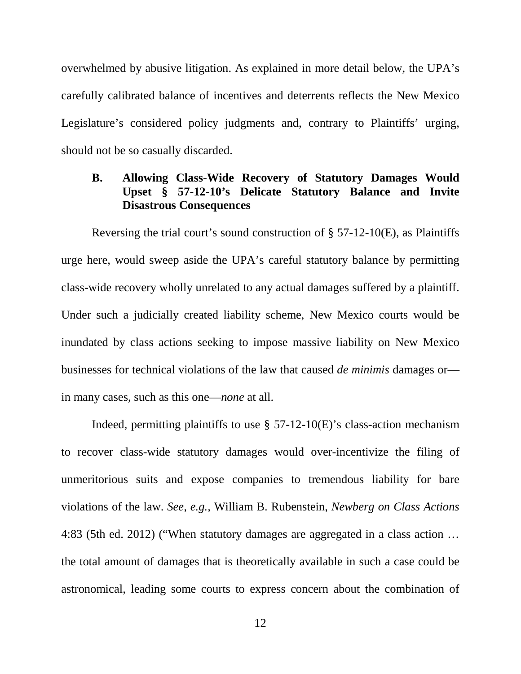overwhelmed by abusive litigation. As explained in more detail below, the UPA's carefully calibrated balance of incentives and deterrents reflects the New Mexico Legislature's considered policy judgments and, contrary to Plaintiffs' urging, should not be so casually discarded.

### **B. Allowing Class-Wide Recovery of Statutory Damages Would Upset § 57-12-10's Delicate Statutory Balance and Invite Disastrous Consequences**

Reversing the trial court's sound construction of  $\S$  57-12-10(E), as Plaintiffs urge here, would sweep aside the UPA's careful statutory balance by permitting class-wide recovery wholly unrelated to any actual damages suffered by a plaintiff. Under such a judicially created liability scheme, New Mexico courts would be inundated by class actions seeking to impose massive liability on New Mexico businesses for technical violations of the law that caused *de minimis* damages or in many cases, such as this one—*none* at all.

Indeed, permitting plaintiffs to use  $\S$  57-12-10(E)'s class-action mechanism to recover class-wide statutory damages would over-incentivize the filing of unmeritorious suits and expose companies to tremendous liability for bare violations of the law. *See, e.g.,* William B. Rubenstein, *Newberg on Class Actions* 4:83 (5th ed. 2012) ("When statutory damages are aggregated in a class action … the total amount of damages that is theoretically available in such a case could be astronomical, leading some courts to express concern about the combination of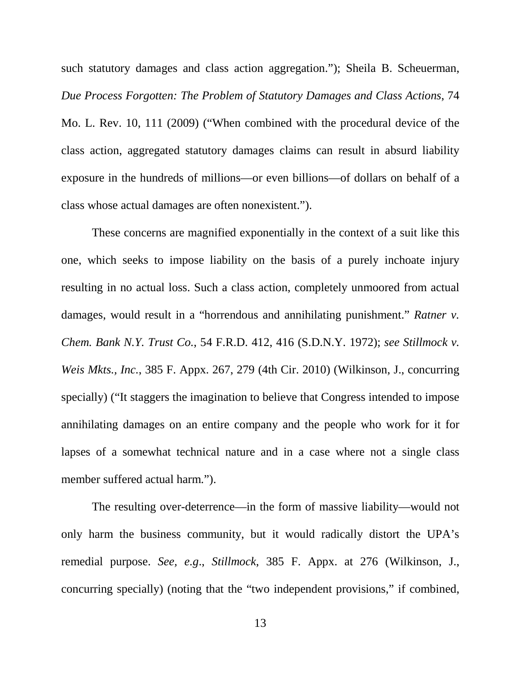such statutory damages and class action aggregation."); Sheila B. Scheuerman, *Due Process Forgotten: The Problem of Statutory Damages and Class Actions*, 74 Mo. L. Rev. 10, 111 (2009) ("When combined with the procedural device of the class action, aggregated statutory damages claims can result in absurd liability exposure in the hundreds of millions—or even billions—of dollars on behalf of a class whose actual damages are often nonexistent.").

These concerns are magnified exponentially in the context of a suit like this one, which seeks to impose liability on the basis of a purely inchoate injury resulting in no actual loss. Such a class action, completely unmoored from actual damages, would result in a "horrendous and annihilating punishment." *Ratner v. Chem. Bank N.Y. Trust Co.*, 54 F.R.D. 412, 416 (S.D.N.Y. 1972); *see Stillmock v. Weis Mkts., Inc.*, 385 F. Appx. 267, 279 (4th Cir. 2010) (Wilkinson, J., concurring specially) ("It staggers the imagination to believe that Congress intended to impose annihilating damages on an entire company and the people who work for it for lapses of a somewhat technical nature and in a case where not a single class member suffered actual harm.").

The resulting over-deterrence—in the form of massive liability—would not only harm the business community, but it would radically distort the UPA's remedial purpose. *See, e.g*., *Stillmock*, 385 F. Appx. at 276 (Wilkinson, J., concurring specially) (noting that the "two independent provisions," if combined,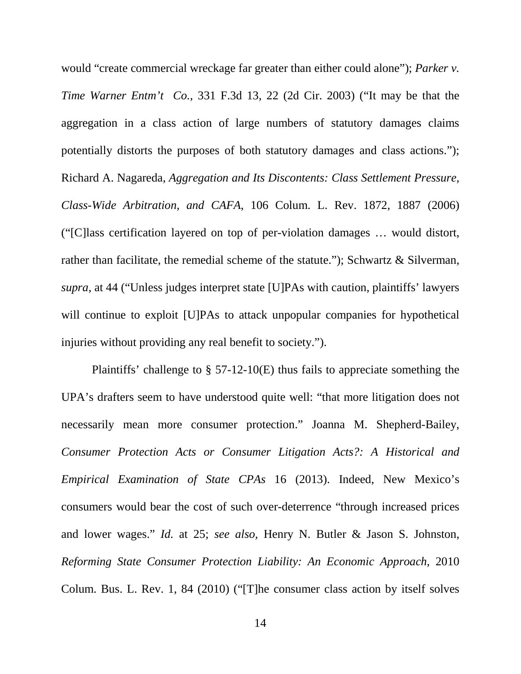would "create commercial wreckage far greater than either could alone"); *Parker v. Time Warner Entm't Co.*, 331 F.3d 13, 22 (2d Cir. 2003) ("It may be that the aggregation in a class action of large numbers of statutory damages claims potentially distorts the purposes of both statutory damages and class actions."); Richard A. Nagareda, *Aggregation and Its Discontents: Class Settlement Pressure, Class-Wide Arbitration, and CAFA*, 106 Colum. L. Rev. 1872, 1887 (2006) ("[C]lass certification layered on top of per-violation damages … would distort, rather than facilitate, the remedial scheme of the statute."); Schwartz & Silverman, *supra*, at 44 ("Unless judges interpret state [U]PAs with caution, plaintiffs' lawyers will continue to exploit [U]PAs to attack unpopular companies for hypothetical injuries without providing any real benefit to society.").

Plaintiffs' challenge to § 57-12-10(E) thus fails to appreciate something the UPA's drafters seem to have understood quite well: "that more litigation does not necessarily mean more consumer protection." Joanna M. Shepherd-Bailey, *Consumer Protection Acts or Consumer Litigation Acts?: A Historical and Empirical Examination of State CPAs* 16 (2013). Indeed, New Mexico's consumers would bear the cost of such over-deterrence "through increased prices and lower wages." *Id.* at 25; *see also,* Henry N. Butler & Jason S. Johnston, *Reforming State Consumer Protection Liability: An Economic Approach*, 2010 Colum. Bus. L. Rev. 1, 84 (2010) ("[T]he consumer class action by itself solves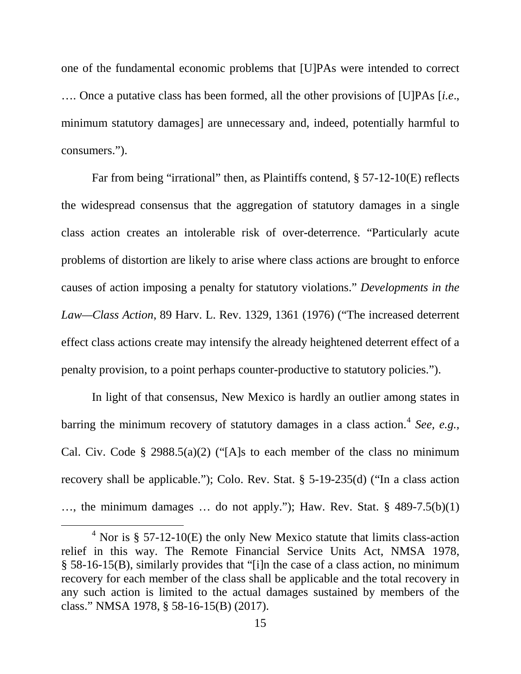one of the fundamental economic problems that [U]PAs were intended to correct …. Once a putative class has been formed, all the other provisions of [U]PAs [*i.e*., minimum statutory damages] are unnecessary and, indeed, potentially harmful to consumers.").

Far from being "irrational" then, as Plaintiffs contend, § 57-12-10(E) reflects the widespread consensus that the aggregation of statutory damages in a single class action creates an intolerable risk of over-deterrence. "Particularly acute problems of distortion are likely to arise where class actions are brought to enforce causes of action imposing a penalty for statutory violations." *Developments in the Law—Class Action*, 89 Harv. L. Rev. 1329, 1361 (1976) ("The increased deterrent effect class actions create may intensify the already heightened deterrent effect of a penalty provision, to a point perhaps counter-productive to statutory policies.").

In light of that consensus, New Mexico is hardly an outlier among states in barring the minimum recovery of statutory damages in a class action. [4](#page-22-0) *See, e.g.,*  Cal. Civ. Code § 2988.5(a)(2) ("[A]s to each member of the class no minimum recovery shall be applicable."); Colo. Rev. Stat. § 5-19-235(d) ("In a class action ..., the minimum damages ... do not apply."); Haw. Rev. Stat.  $\S$  489-7.5(b)(1)

<span id="page-22-0"></span> $4$  Nor is § 57-12-10(E) the only New Mexico statute that limits class-action relief in this way. The Remote Financial Service Units Act, NMSA 1978, § 58-16-15(B), similarly provides that "[i]n the case of a class action, no minimum recovery for each member of the class shall be applicable and the total recovery in any such action is limited to the actual damages sustained by members of the class." NMSA 1978, § 58-16-15(B) (2017).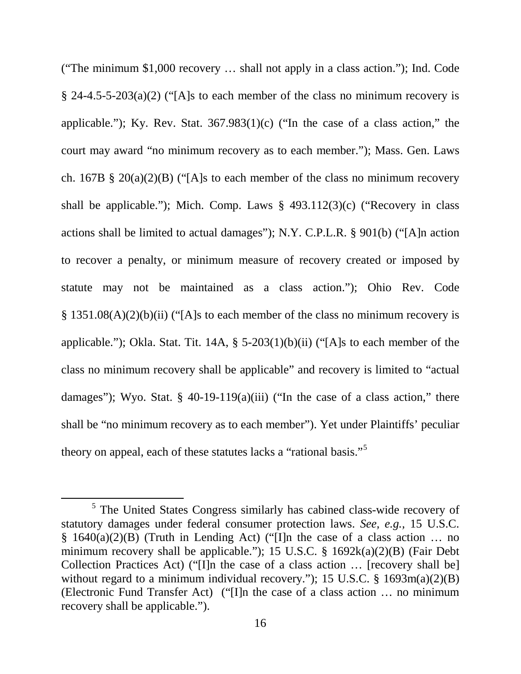("The minimum \$1,000 recovery … shall not apply in a class action."); Ind. Code  $\S$  24-4.5-5-203(a)(2) ("[A]s to each member of the class no minimum recovery is applicable."); Ky. Rev. Stat.  $367.983(1)(c)$  ("In the case of a class action," the court may award "no minimum recovery as to each member."); Mass. Gen. Laws ch. 167B § 20(a)(2)(B) ("[A]s to each member of the class no minimum recovery shall be applicable."); Mich. Comp. Laws  $\S$  493.112(3)(c) ("Recovery in class actions shall be limited to actual damages"); N.Y. C.P.L.R. § 901(b) ("[A]n action to recover a penalty, or minimum measure of recovery created or imposed by statute may not be maintained as a class action."); Ohio Rev. Code  $§ 1351.08(A)(2)(b)(ii)$  ("[A]s to each member of the class no minimum recovery is applicable."); Okla. Stat. Tit. 14A, § 5-203(1)(b)(ii) ("[A]s to each member of the class no minimum recovery shall be applicable" and recovery is limited to "actual damages"); Wyo. Stat.  $\S$  40-19-119(a)(iii) ("In the case of a class action," there shall be "no minimum recovery as to each member"). Yet under Plaintiffs' peculiar theory on appeal, each of these statutes lacks a "rational basis."[5](#page-23-0)

<span id="page-23-0"></span><sup>5</sup> The United States Congress similarly has cabined class-wide recovery of statutory damages under federal consumer protection laws. *See, e.g.,* 15 U.S.C.  $§ 1640(a)(2)(B)$  (Truth in Lending Act) ("[I]n the case of a class action ... no minimum recovery shall be applicable."); 15 U.S.C. § 1692k(a)(2)(B) (Fair Debt Collection Practices Act) ("[I]n the case of a class action … [recovery shall be] without regard to a minimum individual recovery."); 15 U.S.C. § 1693m(a)(2)(B) (Electronic Fund Transfer Act) ("[I]n the case of a class action … no minimum recovery shall be applicable.").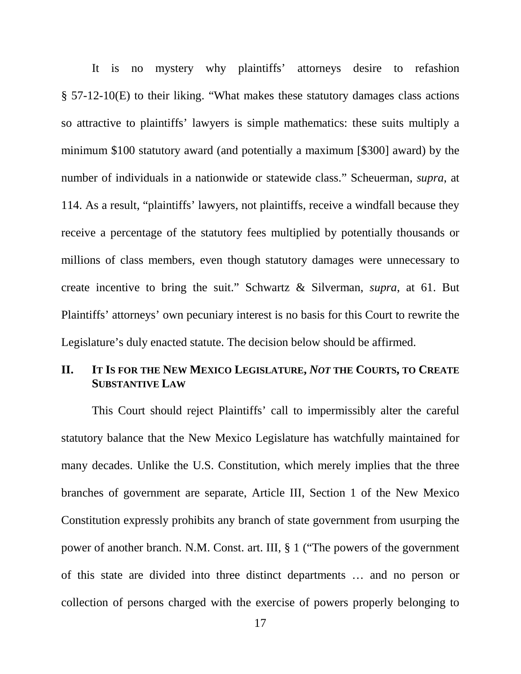It is no mystery why plaintiffs' attorneys desire to refashion § 57-12-10(E) to their liking. "What makes these statutory damages class actions so attractive to plaintiffs' lawyers is simple mathematics: these suits multiply a minimum \$100 statutory award (and potentially a maximum [\$300] award) by the number of individuals in a nationwide or statewide class." Scheuerman, *supra*, at 114. As a result, "plaintiffs' lawyers, not plaintiffs, receive a windfall because they receive a percentage of the statutory fees multiplied by potentially thousands or millions of class members, even though statutory damages were unnecessary to create incentive to bring the suit." Schwartz & Silverman, *supra*, at 61. But Plaintiffs' attorneys' own pecuniary interest is no basis for this Court to rewrite the Legislature's duly enacted statute. The decision below should be affirmed.

### **II. IT IS FOR THE NEW MEXICO LEGISLATURE,** *NOT* **THE COURTS, TO CREATE SUBSTANTIVE LAW**

This Court should reject Plaintiffs' call to impermissibly alter the careful statutory balance that the New Mexico Legislature has watchfully maintained for many decades. Unlike the U.S. Constitution, which merely implies that the three branches of government are separate, Article III, Section 1 of the New Mexico Constitution expressly prohibits any branch of state government from usurping the power of another branch. N.M. Const. art. III, § 1 ("The powers of the government of this state are divided into three distinct departments … and no person or collection of persons charged with the exercise of powers properly belonging to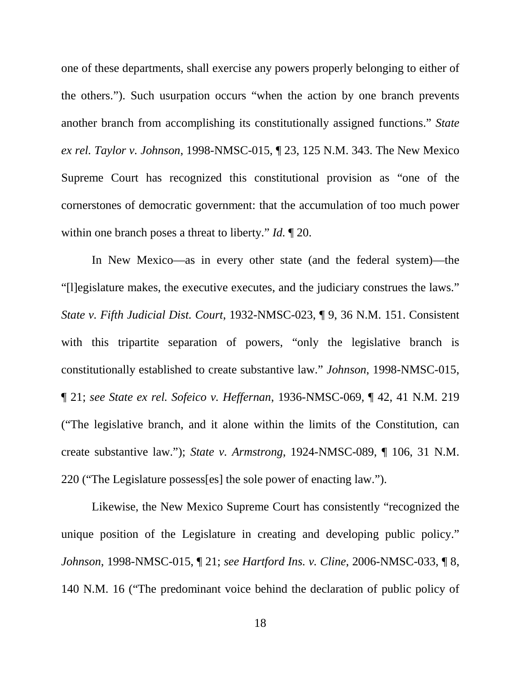one of these departments, shall exercise any powers properly belonging to either of the others."). Such usurpation occurs "when the action by one branch prevents another branch from accomplishing its constitutionally assigned functions." *State ex rel. Taylor v. Johnson*, 1998-NMSC-015, ¶ 23, 125 N.M. 343. The New Mexico Supreme Court has recognized this constitutional provision as "one of the cornerstones of democratic government: that the accumulation of too much power within one branch poses a threat to liberty." *Id.* ¶ 20.

In New Mexico—as in every other state (and the federal system)—the "[l]egislature makes, the executive executes, and the judiciary construes the laws." *State v. Fifth Judicial Dist. Court*, 1932-NMSC-023, ¶ 9, 36 N.M. 151. Consistent with this tripartite separation of powers, "only the legislative branch is constitutionally established to create substantive law." *Johnson*, 1998-NMSC-015, ¶ 21; *see State ex rel. Sofeico v. Heffernan*, 1936-NMSC-069*,* ¶ 42, 41 N.M. 219 ("The legislative branch, and it alone within the limits of the Constitution, can create substantive law."); *State v. Armstrong*, 1924-NMSC-089, ¶ 106, 31 N.M. 220 ("The Legislature possess[es] the sole power of enacting law.").

Likewise, the New Mexico Supreme Court has consistently "recognized the unique position of the Legislature in creating and developing public policy." *Johnson*, 1998-NMSC-015, ¶ 21; *see Hartford Ins. v. Cline*, 2006-NMSC-033, ¶ 8, 140 N.M. 16 ("The predominant voice behind the declaration of public policy of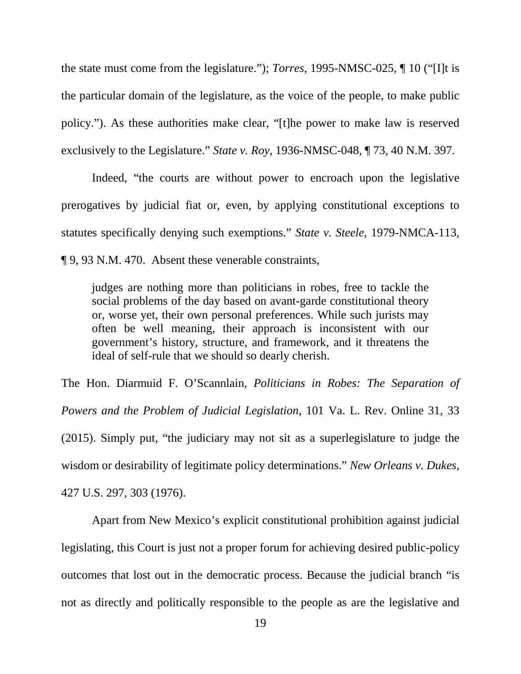the state must come from the legislature."); *Torres*, 1995-NMSC-025, ¶ 10 ("[I]t is the particular domain of the legislature, as the voice of the people, to make public policy."). As these authorities make clear, "[t]he power to make law is reserved exclusively to the Legislature." *State v. Roy*, 1936-NMSC-048, ¶ 73, 40 N.M. 397.

Indeed, "the courts are without power to encroach upon the legislative prerogatives by judicial fiat or, even, by applying constitutional exceptions to statutes specifically denying such exemptions." *State v. Steele*, 1979-NMCA-113, ¶ 9, 93 N.M. 470. Absent these venerable constraints,

judges are nothing more than politicians in robes, free to tackle the social problems of the day based on avant-garde constitutional theory or, worse yet, their own personal preferences. While such jurists may often be well meaning, their approach is inconsistent with our government's history, structure, and framework, and it threatens the ideal of self-rule that we should so dearly cherish.

The Hon. Diarmuid F. O'Scannlain, *Politicians in Robes: The Separation of Powers and the Problem of Judicial Legislation*, 101 Va. L. Rev. Online 31, 33 (2015). Simply put, "the judiciary may not sit as a superlegislature to judge the wisdom or desirability of legitimate policy determinations." *New Orleans v. Dukes*, 427 U.S. 297, 303 (1976).

Apart from New Mexico's explicit constitutional prohibition against judicial legislating, this Court is just not a proper forum for achieving desired public-policy outcomes that lost out in the democratic process. Because the judicial branch "is not as directly and politically responsible to the people as are the legislative and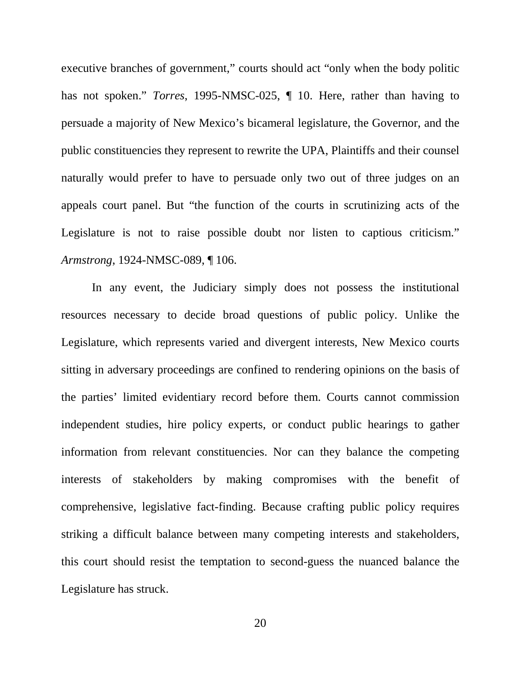executive branches of government," courts should act "only when the body politic has not spoken." *Torres*, 1995-NMSC-025, ¶ 10. Here, rather than having to persuade a majority of New Mexico's bicameral legislature, the Governor, and the public constituencies they represent to rewrite the UPA, Plaintiffs and their counsel naturally would prefer to have to persuade only two out of three judges on an appeals court panel. But "the function of the courts in scrutinizing acts of the Legislature is not to raise possible doubt nor listen to captious criticism." *Armstrong*, 1924-NMSC-089, ¶ 106.

In any event, the Judiciary simply does not possess the institutional resources necessary to decide broad questions of public policy. Unlike the Legislature, which represents varied and divergent interests, New Mexico courts sitting in adversary proceedings are confined to rendering opinions on the basis of the parties' limited evidentiary record before them. Courts cannot commission independent studies, hire policy experts, or conduct public hearings to gather information from relevant constituencies. Nor can they balance the competing interests of stakeholders by making compromises with the benefit of comprehensive, legislative fact-finding. Because crafting public policy requires striking a difficult balance between many competing interests and stakeholders, this court should resist the temptation to second-guess the nuanced balance the Legislature has struck.

20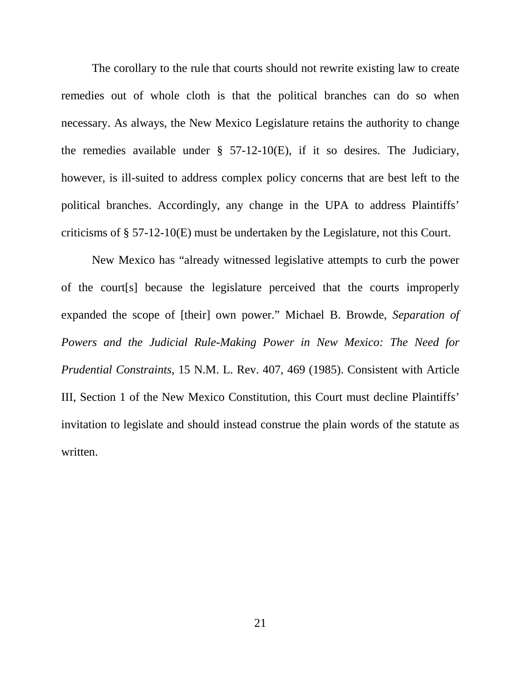The corollary to the rule that courts should not rewrite existing law to create remedies out of whole cloth is that the political branches can do so when necessary. As always, the New Mexico Legislature retains the authority to change the remedies available under  $\S$  57-12-10(E), if it so desires. The Judiciary, however, is ill-suited to address complex policy concerns that are best left to the political branches. Accordingly, any change in the UPA to address Plaintiffs' criticisms of § 57-12-10(E) must be undertaken by the Legislature, not this Court.

New Mexico has "already witnessed legislative attempts to curb the power of the court[s] because the legislature perceived that the courts improperly expanded the scope of [their] own power." Michael B. Browde, *Separation of Powers and the Judicial Rule-Making Power in New Mexico: The Need for Prudential Constraints*, 15 N.M. L. Rev. 407, 469 (1985). Consistent with Article III, Section 1 of the New Mexico Constitution, this Court must decline Plaintiffs' invitation to legislate and should instead construe the plain words of the statute as written.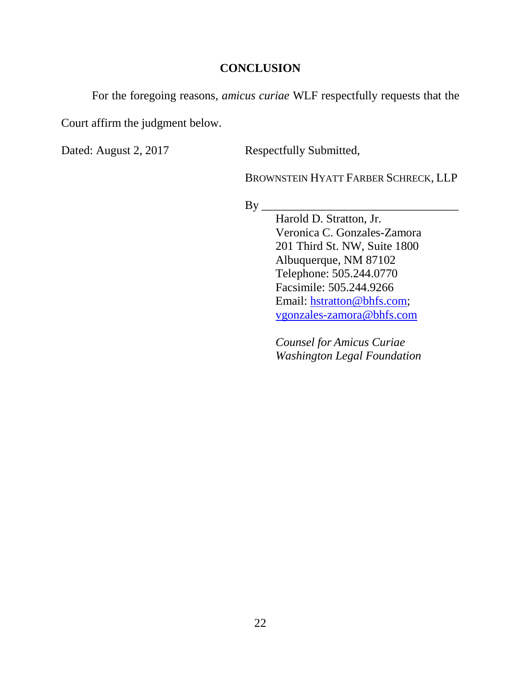#### **CONCLUSION**

For the foregoing reasons, *amicus curiae* WLF respectfully requests that the

Court affirm the judgment below.

Dated: August 2, 2017 Respectfully Submitted,

BROWNSTEIN HYATT FARBER SCHRECK, LLP

 $By \_\_$ 

Harold D. Stratton, Jr. Veronica C. Gonzales-Zamora 201 Third St. NW, Suite 1800 Albuquerque, NM 87102 Telephone: 505.244.0770 Facsimile: 505.244.9266 Email: [hstratton@bhfs.com;](mailto:hstratton@bhfs.com) [vgonzales-zamora@bhfs.com](mailto:vgonzales-zamora@bhfs.com)

*Counsel for Amicus Curiae Washington Legal Foundation*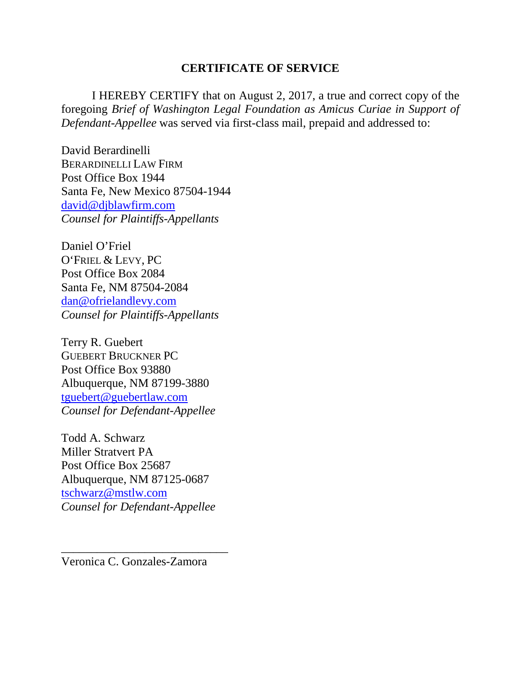### **CERTIFICATE OF SERVICE**

I HEREBY CERTIFY that on August 2, 2017, a true and correct copy of the foregoing *Brief of Washington Legal Foundation as Amicus Curiae in Support of Defendant-Appellee* was served via first-class mail, prepaid and addressed to:

David Berardinelli BERARDINELLI LAW FIRM Post Office Box 1944 Santa Fe, New Mexico 87504-1944 [david@djblawfirm.com](mailto:david@djblawfirm.com) *Counsel for Plaintiffs-Appellants*

Daniel O'Friel O'FRIEL & LEVY, PC Post Office Box 2084 Santa Fe, NM 87504-2084 [dan@ofrielandlevy.com](mailto:dan@ofrielandlevy.com) *Counsel for Plaintiffs-Appellants*

Terry R. Guebert GUEBERT BRUCKNER PC Post Office Box 93880 Albuquerque, NM 87199-3880 [tguebert@guebertlaw.com](mailto:tguebert@guebertlaw.com) *Counsel for Defendant-Appellee*

Todd A. Schwarz Miller Stratvert PA Post Office Box 25687 Albuquerque, NM 87125-0687 [tschwarz@mstlw.com](mailto:tschwarz@mstlw.com) *Counsel for Defendant-Appellee*

Veronica C. Gonzales-Zamora

\_\_\_\_\_\_\_\_\_\_\_\_\_\_\_\_\_\_\_\_\_\_\_\_\_\_\_\_